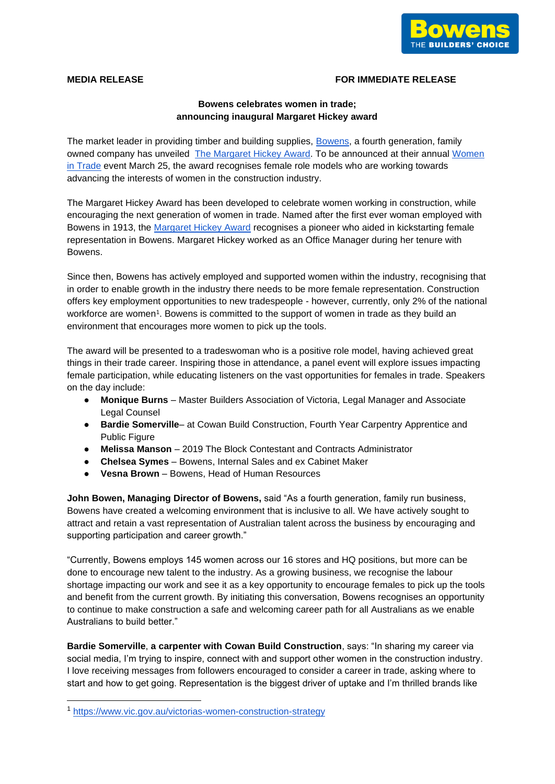

## **MEDIA RELEASE FOR IMMEDIATE RELEASE**

# **Bowens celebrates women in trade; announcing inaugural Margaret Hickey award**

The market leader in providing timber and building supplies, [Bowens,](https://www.bowens.com.au/nominations-open-the-margaret-hickey-award/) a fourth generation, family owned company has unveiled [The Margaret Hickey Award.](https://www.bowens.com.au/nominations-open-the-margaret-hickey-award/) To be announced at their annual [Women](https://www.bowens.com.au/bowens-women-in-trade-event-2022/)  [in Trade](https://www.bowens.com.au/bowens-women-in-trade-event-2022/) event March 25, the award recognises female role models who are working towards advancing the interests of women in the construction industry.

The Margaret Hickey Award has been developed to celebrate women working in construction, while encouraging the next generation of women in trade. Named after the first ever woman employed with Bowens in 1913, the [Margaret Hickey Award](https://www.bowens.com.au/nominations-open-the-margaret-hickey-award/) recognises a pioneer who aided in kickstarting female representation in Bowens. Margaret Hickey worked as an Office Manager during her tenure with Bowens.

Since then, Bowens has actively employed and supported women within the industry, recognising that in order to enable growth in the industry there needs to be more female representation. Construction offers key employment opportunities to new tradespeople - however, currently, only 2% of the national workforce are women<sup>1</sup>. Bowens is committed to the support of women in trade as they build an environment that encourages more women to pick up the tools.

The award will be presented to a tradeswoman who is a positive role model, having achieved great things in their trade career. Inspiring those in attendance, a panel event will explore issues impacting female participation, while educating listeners on the vast opportunities for females in trade. Speakers on the day include:

- **Monique Burns** Master Builders Association of Victoria, Legal Manager and Associate Legal Counsel
- **Bardie Somerville** at Cowan Build Construction, Fourth Year Carpentry Apprentice and Public Figure
- **Melissa Manson** 2019 The Block Contestant and Contracts Administrator
- **Chelsea Symes** Bowens, Internal Sales and ex Cabinet Maker
- Vesna Brown Bowens, Head of Human Resources

**John Bowen, Managing Director of Bowens,** said "As a fourth generation, family run business, Bowens have created a welcoming environment that is inclusive to all. We have actively sought to attract and retain a vast representation of Australian talent across the business by encouraging and supporting participation and career growth."

"Currently, Bowens employs 145 women across our 16 stores and HQ positions, but more can be done to encourage new talent to the industry. As a growing business, we recognise the labour shortage impacting our work and see it as a key opportunity to encourage females to pick up the tools and benefit from the current growth. By initiating this conversation, Bowens recognises an opportunity to continue to make construction a safe and welcoming career path for all Australians as we enable Australians to build better."

**Bardie Somerville**, **a carpenter with Cowan Build Construction**, says: "In sharing my career via social media, I'm trying to inspire, connect with and support other women in the construction industry. I love receiving messages from followers encouraged to consider a career in trade, asking where to start and how to get going. Representation is the biggest driver of uptake and I'm thrilled brands like

<sup>1</sup> <https://www.vic.gov.au/victorias-women-construction-strategy>